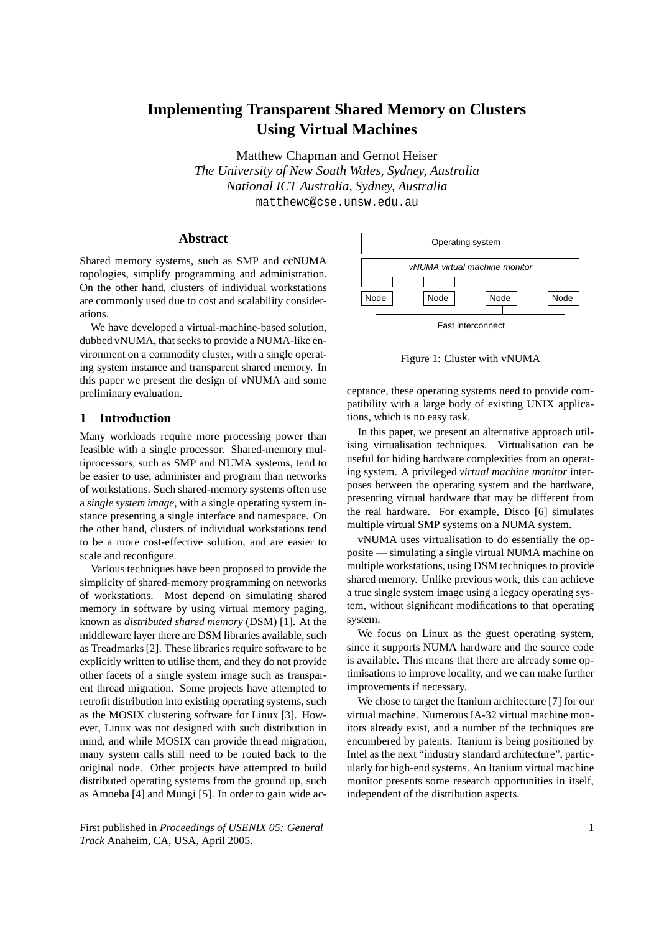# **Implementing Transparent Shared Memory on Clusters Using Virtual Machines**

Matthew Chapman and Gernot Heiser *The University of New South Wales, Sydney, Australia National ICT Australia, Sydney, Australia* matthewc@cse.unsw.edu.au

# **Abstract**

Shared memory systems, such as SMP and ccNUMA topologies, simplify programming and administration. On the other hand, clusters of individual workstations are commonly used due to cost and scalability considerations.

We have developed a virtual-machine-based solution, dubbed vNUMA, that seeks to provide a NUMA-like environment on a commodity cluster, with a single operating system instance and transparent shared memory. In this paper we present the design of vNUMA and some preliminary evaluation.

# **1 Introduction**

Many workloads require more processing power than feasible with a single processor. Shared-memory multiprocessors, such as SMP and NUMA systems, tend to be easier to use, administer and program than networks of workstations. Such shared-memory systems often use a *single system image*, with a single operating system instance presenting a single interface and namespace. On the other hand, clusters of individual workstations tend to be a more cost-effective solution, and are easier to scale and reconfigure.

Various techniques have been proposed to provide the simplicity of shared-memory programming on networks of workstations. Most depend on simulating shared memory in software by using virtual memory paging, known as *distributed shared memory* (DSM) [1]. At the middleware layer there are DSM libraries available, such as Treadmarks[2]. These libraries require software to be explicitly written to utilise them, and they do not provide other facets of a single system image such as transparent thread migration. Some projects have attempted to retrofit distribution into existing operating systems, such as the MOSIX clustering software for Linux [3]. However, Linux was not designed with such distribution in mind, and while MOSIX can provide thread migration, many system calls still need to be routed back to the original node. Other projects have attempted to build distributed operating systems from the ground up, such as Amoeba [4] and Mungi [5]. In order to gain wide ac-

First published in *Proceedings of USENIX 05: General Track* Anaheim, CA, USA, April 2005.



Fast interconnect

Figure 1: Cluster with vNUMA

ceptance, these operating systems need to provide compatibility with a large body of existing UNIX applications, which is no easy task.

In this paper, we present an alternative approach utilising virtualisation techniques. Virtualisation can be useful for hiding hardware complexities from an operating system. A privileged *virtual machine monitor* interposes between the operating system and the hardware, presenting virtual hardware that may be different from the real hardware. For example, Disco [6] simulates multiple virtual SMP systems on a NUMA system.

vNUMA uses virtualisation to do essentially the opposite — simulating a single virtual NUMA machine on multiple workstations, using DSM techniques to provide shared memory. Unlike previous work, this can achieve a true single system image using a legacy operating system, without significant modifications to that operating system.

We focus on Linux as the guest operating system, since it supports NUMA hardware and the source code is available. This means that there are already some optimisations to improve locality, and we can make further improvements if necessary.

We chose to target the Itanium architecture [7] for our virtual machine. Numerous IA-32 virtual machine monitors already exist, and a number of the techniques are encumbered by patents. Itanium is being positioned by Intel as the next "industry standard architecture", particularly for high-end systems. An Itanium virtual machine monitor presents some research opportunities in itself, independent of the distribution aspects.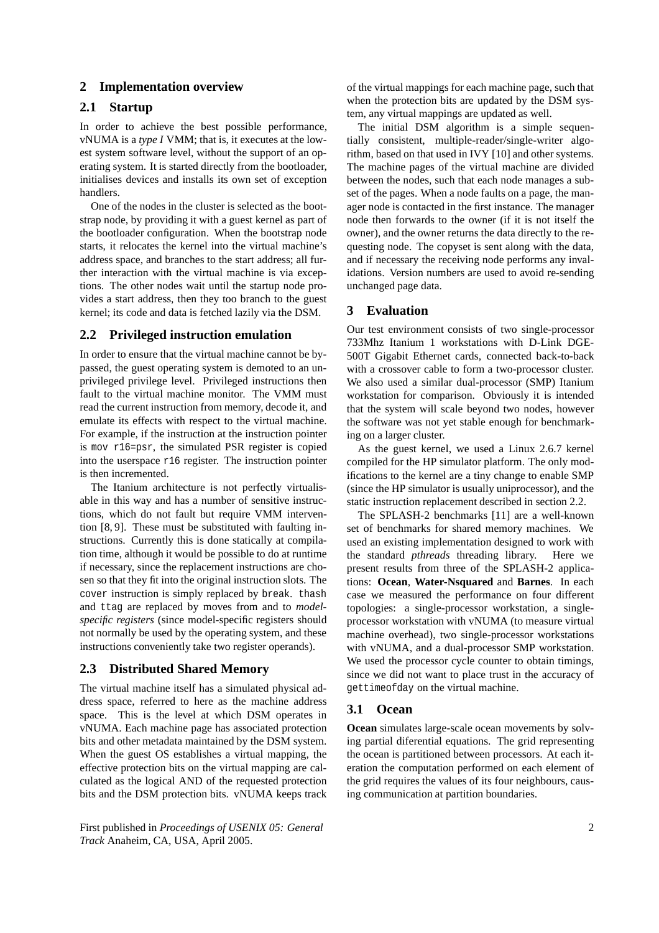## **2 Implementation overview**

# **2.1 Startup**

In order to achieve the best possible performance, vNUMA is a *type I* VMM; that is, it executes at the lowest system software level, without the support of an operating system. It is started directly from the bootloader, initialises devices and installs its own set of exception handlers.

One of the nodes in the cluster is selected as the bootstrap node, by providing it with a guest kernel as part of the bootloader configuration. When the bootstrap node starts, it relocates the kernel into the virtual machine's address space, and branches to the start address; all further interaction with the virtual machine is via exceptions. The other nodes wait until the startup node provides a start address, then they too branch to the guest kernel; its code and data is fetched lazily via the DSM.

## **2.2 Privileged instruction emulation**

In order to ensure that the virtual machine cannot be bypassed, the guest operating system is demoted to an unprivileged privilege level. Privileged instructions then fault to the virtual machine monitor. The VMM must read the current instruction from memory, decode it, and emulate its effects with respect to the virtual machine. For example, if the instruction at the instruction pointer is mov r16=psr, the simulated PSR register is copied into the userspace r16 register. The instruction pointer is then incremented.

The Itanium architecture is not perfectly virtualisable in this way and has a number of sensitive instructions, which do not fault but require VMM intervention [8, 9]. These must be substituted with faulting instructions. Currently this is done statically at compilation time, although it would be possible to do at runtime if necessary, since the replacement instructions are chosen so that they fit into the original instruction slots. The cover instruction is simply replaced by break. thash and ttag are replaced by moves from and to *modelspecific registers* (since model-specific registers should not normally be used by the operating system, and these instructions conveniently take two register operands).

# **2.3 Distributed Shared Memory**

The virtual machine itself has a simulated physical address space, referred to here as the machine address space. This is the level at which DSM operates in vNUMA. Each machine page has associated protection bits and other metadata maintained by the DSM system. When the guest OS establishes a virtual mapping, the effective protection bits on the virtual mapping are calculated as the logical AND of the requested protection bits and the DSM protection bits. vNUMA keeps track

First published in *Proceedings of USENIX 05: General Track* Anaheim, CA, USA, April 2005.

of the virtual mappings for each machine page, such that when the protection bits are updated by the DSM system, any virtual mappings are updated as well.

The initial DSM algorithm is a simple sequentially consistent, multiple-reader/single-writer algorithm, based on that used in IVY [10] and other systems. The machine pages of the virtual machine are divided between the nodes, such that each node manages a subset of the pages. When a node faults on a page, the manager node is contacted in the first instance. The manager node then forwards to the owner (if it is not itself the owner), and the owner returns the data directly to the requesting node. The copyset is sent along with the data, and if necessary the receiving node performs any invalidations. Version numbers are used to avoid re-sending unchanged page data.

#### **3 Evaluation**

Our test environment consists of two single-processor 733Mhz Itanium 1 workstations with D-Link DGE-500T Gigabit Ethernet cards, connected back-to-back with a crossover cable to form a two-processor cluster. We also used a similar dual-processor (SMP) Itanium workstation for comparison. Obviously it is intended that the system will scale beyond two nodes, however the software was not yet stable enough for benchmarking on a larger cluster.

As the guest kernel, we used a Linux 2.6.7 kernel compiled for the HP simulator platform. The only modifications to the kernel are a tiny change to enable SMP (since the HP simulator is usually uniprocessor), and the static instruction replacement described in section 2.2.

The SPLASH-2 benchmarks [11] are a well-known set of benchmarks for shared memory machines. We used an existing implementation designed to work with the standard *pthreads* threading library. Here we present results from three of the SPLASH-2 applications: **Ocean**, **Water-Nsquared** and **Barnes**. In each case we measured the performance on four different topologies: a single-processor workstation, a singleprocessor workstation with vNUMA (to measure virtual machine overhead), two single-processor workstations with vNUMA, and a dual-processor SMP workstation. We used the processor cycle counter to obtain timings, since we did not want to place trust in the accuracy of gettimeofday on the virtual machine.

## **3.1 Ocean**

**Ocean** simulates large-scale ocean movements by solving partial diferential equations. The grid representing the ocean is partitioned between processors. At each iteration the computation performed on each element of the grid requires the values of its four neighbours, causing communication at partition boundaries.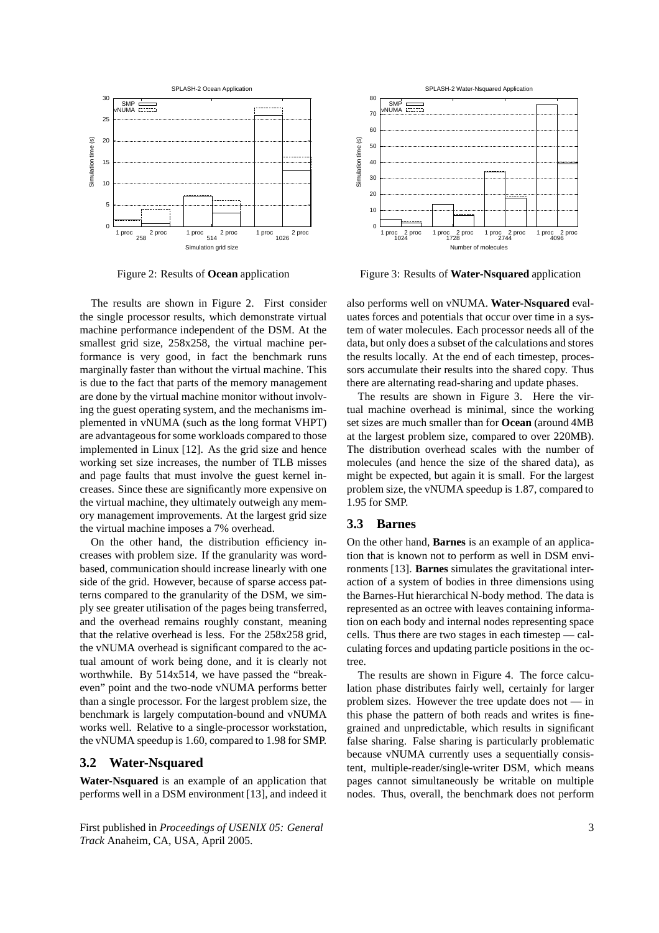

Figure 2: Results of **Ocean** application

The results are shown in Figure 2. First consider the single processor results, which demonstrate virtual machine performance independent of the DSM. At the smallest grid size, 258x258, the virtual machine performance is very good, in fact the benchmark runs marginally faster than without the virtual machine. This is due to the fact that parts of the memory management are done by the virtual machine monitor without involving the guest operating system, and the mechanisms implemented in vNUMA (such as the long format VHPT) are advantageous for some workloads compared to those implemented in Linux [12]. As the grid size and hence working set size increases, the number of TLB misses and page faults that must involve the guest kernel increases. Since these are significantly more expensive on the virtual machine, they ultimately outweigh any memory management improvements. At the largest grid size the virtual machine imposes a 7% overhead.

On the other hand, the distribution efficiency increases with problem size. If the granularity was wordbased, communication should increase linearly with one side of the grid. However, because of sparse access patterns compared to the granularity of the DSM, we simply see greater utilisation of the pages being transferred, and the overhead remains roughly constant, meaning that the relative overhead is less. For the 258x258 grid, the vNUMA overhead is significant compared to the actual amount of work being done, and it is clearly not worthwhile. By 514x514, we have passed the "breakeven" point and the two-node vNUMA performs better than a single processor. For the largest problem size, the benchmark is largely computation-bound and vNUMA works well. Relative to a single-processor workstation, the vNUMA speedup is 1.60, compared to 1.98 for SMP.

## **3.2 Water-Nsquared**

**Water-Nsquared** is an example of an application that performs well in a DSM environment [13], and indeed it

First published in *Proceedings of USENIX 05: General Track* Anaheim, CA, USA, April 2005.



Figure 3: Results of **Water-Nsquared** application

also performs well on vNUMA. **Water-Nsquared** evaluates forces and potentials that occur over time in a system of water molecules. Each processor needs all of the data, but only does a subset of the calculations and stores the results locally. At the end of each timestep, processors accumulate their results into the shared copy. Thus there are alternating read-sharing and update phases.

The results are shown in Figure 3. Here the virtual machine overhead is minimal, since the working set sizes are much smaller than for **Ocean** (around 4MB at the largest problem size, compared to over 220MB). The distribution overhead scales with the number of molecules (and hence the size of the shared data), as might be expected, but again it is small. For the largest problem size, the vNUMA speedup is 1.87, compared to 1.95 for SMP.

## **3.3 Barnes**

On the other hand, **Barnes** is an example of an application that is known not to perform as well in DSM environments [13]. **Barnes** simulates the gravitational interaction of a system of bodies in three dimensions using the Barnes-Hut hierarchical N-body method. The data is represented as an octree with leaves containing information on each body and internal nodes representing space cells. Thus there are two stages in each timestep — calculating forces and updating particle positions in the octree.

The results are shown in Figure 4. The force calculation phase distributes fairly well, certainly for larger problem sizes. However the tree update does not — in this phase the pattern of both reads and writes is finegrained and unpredictable, which results in significant false sharing. False sharing is particularly problematic because vNUMA currently uses a sequentially consistent, multiple-reader/single-writer DSM, which means pages cannot simultaneously be writable on multiple nodes. Thus, overall, the benchmark does not perform